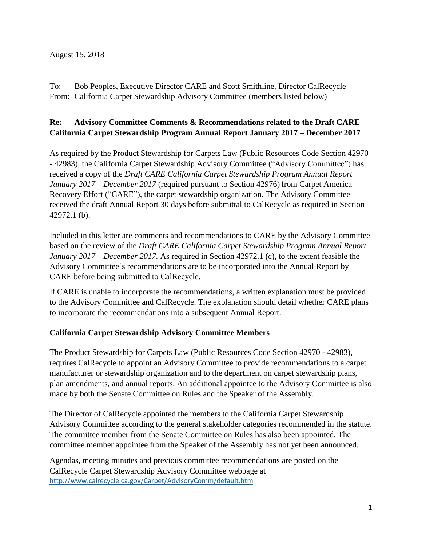To: Bob Peoples, Executive Director CARE and Scott Smithline, Director CalRecycle From: California Carpet Stewardship Advisory Committee (members listed below)

# **Re: Advisory Committee Comments & Recommendations related to the Draft CARE California Carpet Stewardship Program Annual Report January 2017 – December 2017**

As required by the Product Stewardship for Carpets Law (Public Resources Code Section 42970 - 42983), the California Carpet Stewardship Advisory Committee ("Advisory Committee") has received a copy of the *Draft CARE California Carpet Stewardship Program Annual Report January 2017 – December 2017* (required pursuant to Section 42976) from Carpet America Recovery Effort ("CARE"), the carpet stewardship organization. The Advisory Committee received the draft Annual Report 30 days before submittal to CalRecycle as required in Section 42972.1 (b).

Included in this letter are comments and recommendations to CARE by the Advisory Committee based on the review of the *Draft CARE California Carpet Stewardship Program Annual Report January 2017 – December 2017.* As required in Section 42972.1 (c), to the extent feasible the Advisory Committee's recommendations are to be incorporated into the Annual Report by CARE before being submitted to CalRecycle.

If CARE is unable to incorporate the recommendations, a written explanation must be provided to the Advisory Committee and CalRecycle. The explanation should detail whether CARE plans to incorporate the recommendations into a subsequent Annual Report.

# **California Carpet Stewardship Advisory Committee Members**

The Product Stewardship for Carpets Law (Public Resources Code Section 42970 - 42983), requires CalRecycle to appoint an Advisory Committee to provide recommendations to a carpet manufacturer or stewardship organization and to the department on carpet stewardship plans, plan amendments, and annual reports. An additional appointee to the Advisory Committee is also made by both the Senate Committee on Rules and the Speaker of the Assembly.

The Director of CalRecycle appointed the members [to the California Carpet Stewardship](http://www.calrecycle.ca.gov/carpet/AdvisoryComm/17CommApprove.pdf)  [Advisory Committee](http://www.calrecycle.ca.gov/carpet/AdvisoryComm/17CommApprove.pdf) according to the general stakeholder categories recommended in the statute. The committee member from the Senate Committee on Rules has also been appointed. The committee member appointee from the Speaker of the Assembly has not yet been announced.

Agendas, meeting minutes and previous committee recommendations are posted on the CalRecycle Carpet Stewardship Advisory Committee webpage at <http://www.calrecycle.ca.gov/Carpet/AdvisoryComm/default.htm>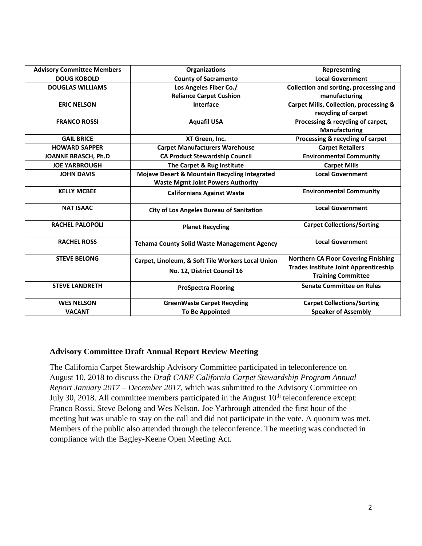| <b>Advisory Committee Members</b> | <b>Organizations</b>                               | Representing                                      |
|-----------------------------------|----------------------------------------------------|---------------------------------------------------|
| <b>DOUG KOBOLD</b>                | <b>County of Sacramento</b>                        | <b>Local Government</b>                           |
| <b>DOUGLAS WILLIAMS</b>           | Los Angeles Fiber Co./                             | Collection and sorting, processing and            |
|                                   | <b>Reliance Carpet Cushion</b>                     | manufacturing                                     |
| <b>ERIC NELSON</b>                | Interface                                          | <b>Carpet Mills, Collection, processing &amp;</b> |
|                                   |                                                    | recycling of carpet                               |
| <b>FRANCO ROSSI</b>               | <b>Aquafil USA</b>                                 | Processing & recycling of carpet,                 |
|                                   |                                                    | <b>Manufacturing</b>                              |
| <b>GAIL BRICE</b>                 | XT Green, Inc.                                     | Processing & recycling of carpet                  |
| <b>HOWARD SAPPER</b>              | <b>Carpet Manufacturers Warehouse</b>              | <b>Carpet Retailers</b>                           |
| <b>JOANNE BRASCH, Ph.D</b>        | <b>CA Product Stewardship Council</b>              | <b>Environmental Community</b>                    |
| <b>JOE YARBROUGH</b>              | The Carpet & Rug Institute                         | <b>Carpet Mills</b>                               |
| <b>JOHN DAVIS</b>                 | Mojave Desert & Mountain Recycling Integrated      | <b>Local Government</b>                           |
|                                   | <b>Waste Mgmt Joint Powers Authority</b>           |                                                   |
| <b>KELLY MCBEE</b>                | <b>Californians Against Waste</b>                  | <b>Environmental Community</b>                    |
| <b>NAT ISAAC</b>                  | <b>City of Los Angeles Bureau of Sanitation</b>    | <b>Local Government</b>                           |
| <b>RACHEL PALOPOLI</b>            | <b>Planet Recycling</b>                            | <b>Carpet Collections/Sorting</b>                 |
| <b>RACHEL ROSS</b>                | <b>Tehama County Solid Waste Management Agency</b> | <b>Local Government</b>                           |
| <b>STEVE BELONG</b>               | Carpet, Linoleum, & Soft Tile Workers Local Union  | <b>Northern CA Floor Covering Finishing</b>       |
|                                   |                                                    | <b>Trades Institute Joint Apprenticeship</b>      |
|                                   | No. 12, District Council 16                        | <b>Training Committee</b>                         |
| <b>STEVE LANDRETH</b>             | <b>ProSpectra Flooring</b>                         | <b>Senate Committee on Rules</b>                  |
| <b>WES NELSON</b>                 | <b>GreenWaste Carpet Recycling</b>                 | <b>Carpet Collections/Sorting</b>                 |
|                                   |                                                    | <b>Speaker of Assembly</b>                        |
| <b>VACANT</b>                     | <b>To Be Appointed</b>                             |                                                   |

# **Advisory Committee Draft Annual Report Review Meeting**

The California Carpet Stewardship Advisory Committee participated in teleconference on August 10, 2018 to discuss the *Draft CARE California Carpet Stewardship Program Annual Report January 2017 – December 2017,* which was submitted to the Advisory Committee on July 30, 2018. All committee members participated in the August  $10<sup>th</sup>$  teleconference except: Franco Rossi, Steve Belong and Wes Nelson. Joe Yarbrough attended the first hour of the meeting but was unable to stay on the call and did not participate in the vote. A quorum was met. Members of the public also attended through the teleconference. The meeting was conducted in compliance with the Bagley-Keene Open Meeting Act.